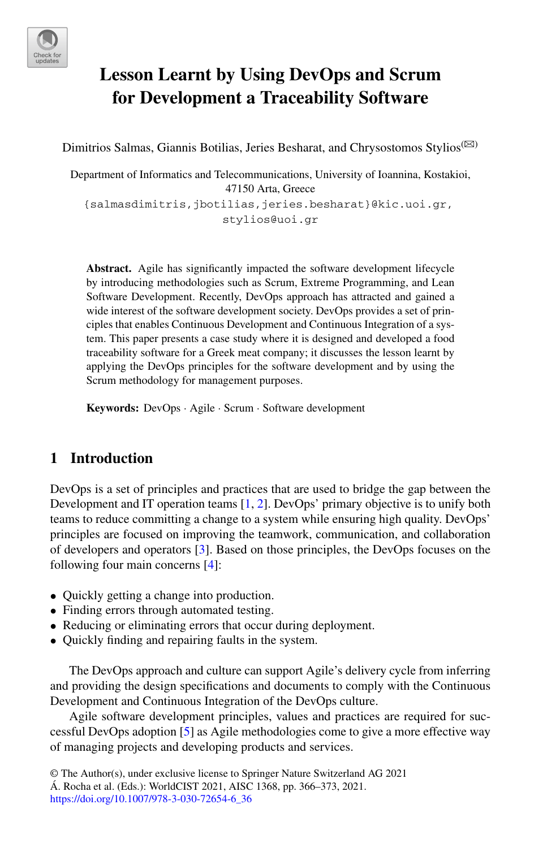

# **Lesson Learnt by Using DevOps and Scrum for Development a Traceability Software**

Dimitrios Salmas, Giannis Botilias, Jeries Besharat, and Chrysostomos Stylios<sup>( $\boxtimes$ )</sup>

Department of Informatics and Telecommunications, University of Ioannina, Kostakioi, 47150 Arta, Greece {salmasdimitris,jbotilias,jeries.besharat}@kic.uoi.gr, stylios@uoi.gr

**Abstract.** Agile has significantly impacted the software development lifecycle by introducing methodologies such as Scrum, Extreme Programming, and Lean Software Development. Recently, DevOps approach has attracted and gained a wide interest of the software development society. DevOps provides a set of principles that enables Continuous Development and Continuous Integration of a system. This paper presents a case study where it is designed and developed a food traceability software for a Greek meat company; it discusses the lesson learnt by applying the DevOps principles for the software development and by using the Scrum methodology for management purposes.

**Keywords:** DevOps · Agile · Scrum · Software development

## **1 Introduction**

DevOps is a set of principles and practices that are used to bridge the gap between the Development and IT operation teams [\[1,](#page-6-0) [2\]](#page-6-1). DevOps' primary objective is to unify both teams to reduce committing a change to a system while ensuring high quality. DevOps' principles are focused on improving the teamwork, communication, and collaboration of developers and operators [\[3\]](#page-7-0). Based on those principles, the DevOps focuses on the following four main concerns [\[4\]](#page-7-1):

- Quickly getting a change into production.
- Finding errors through automated testing.
- Reducing or eliminating errors that occur during deployment.
- Quickly finding and repairing faults in the system.

The DevOps approach and culture can support Agile's delivery cycle from inferring and providing the design specifications and documents to comply with the Continuous Development and Continuous Integration of the DevOps culture.

Agile software development principles, values and practices are required for successful DevOps adoption [\[5\]](#page-7-2) as Agile methodologies come to give a more effective way of managing projects and developing products and services.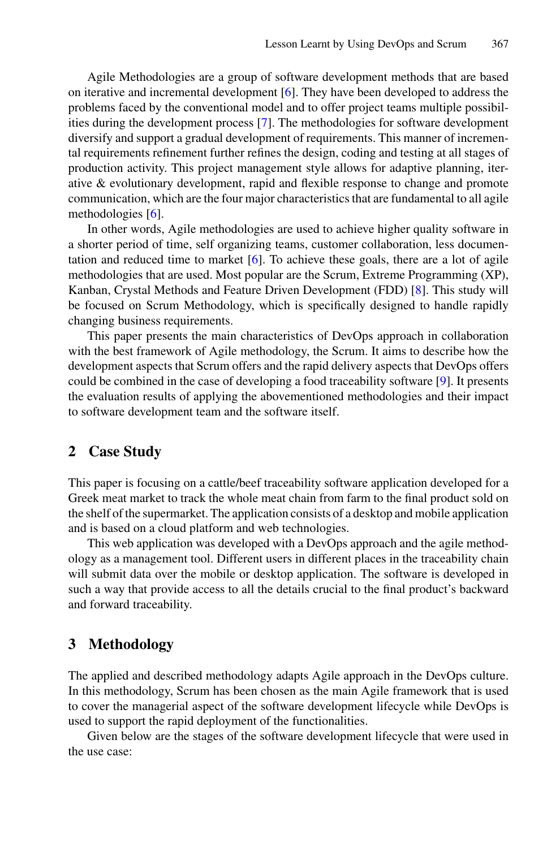Agile Methodologies are a group of software development methods that are based on iterative and incremental development [\[6\]](#page-7-3). They have been developed to address the problems faced by the conventional model and to offer project teams multiple possibilities during the development process [\[7\]](#page-7-4). The methodologies for software development diversify and support a gradual development of requirements. This manner of incremental requirements refinement further refines the design, coding and testing at all stages of production activity. This project management style allows for adaptive planning, iterative & evolutionary development, rapid and flexible response to change and promote communication, which are the four major characteristics that are fundamental to all agile methodologies [\[6\]](#page-7-3).

In other words, Agile methodologies are used to achieve higher quality software in a shorter period of time, self organizing teams, customer collaboration, less documentation and reduced time to market  $[6]$ . To achieve these goals, there are a lot of agile methodologies that are used. Most popular are the Scrum, Extreme Programming (XP), Kanban, Crystal Methods and Feature Driven Development (FDD) [\[8\]](#page-7-5). This study will be focused on Scrum Methodology, which is specifically designed to handle rapidly changing business requirements.

This paper presents the main characteristics of DevOps approach in collaboration with the best framework of Agile methodology, the Scrum. It aims to describe how the development aspects that Scrum offers and the rapid delivery aspects that DevOps offers could be combined in the case of developing a food traceability software [\[9\]](#page-7-6). It presents the evaluation results of applying the abovementioned methodologies and their impact to software development team and the software itself.

### **2 Case Study**

This paper is focusing on a cattle/beef traceability software application developed for a Greek meat market to track the whole meat chain from farm to the final product sold on the shelf of the supermarket. The application consists of a desktop and mobile application and is based on a cloud platform and web technologies.

This web application was developed with a DevOps approach and the agile methodology as a management tool. Different users in different places in the traceability chain will submit data over the mobile or desktop application. The software is developed in such a way that provide access to all the details crucial to the final product's backward and forward traceability.

### **3 Methodology**

The applied and described methodology adapts Agile approach in the DevOps culture. In this methodology, Scrum has been chosen as the main Agile framework that is used to cover the managerial aspect of the software development lifecycle while DevOps is used to support the rapid deployment of the functionalities.

Given below are the stages of the software development lifecycle that were used in the use case: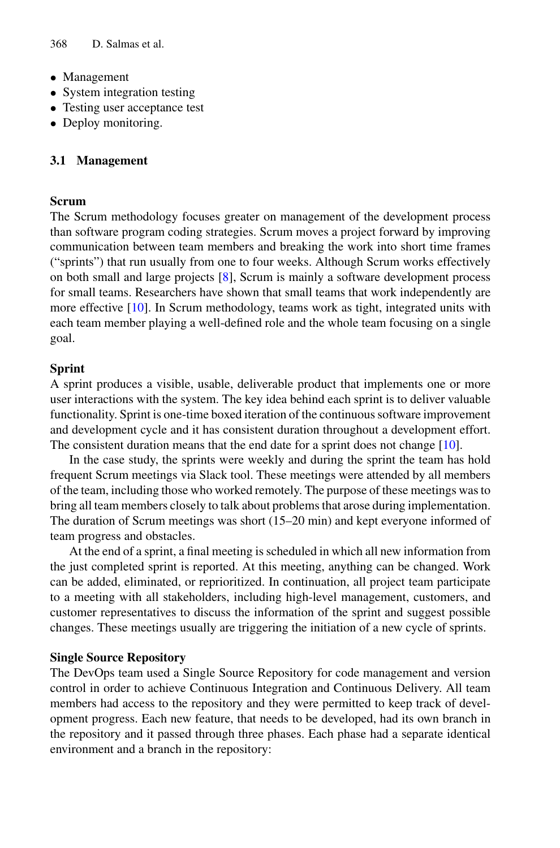- Management
- System integration testing
- Testing user acceptance test
- Deploy monitoring.

#### **3.1 Management**

#### **Scrum**

The Scrum methodology focuses greater on management of the development process than software program coding strategies. Scrum moves a project forward by improving communication between team members and breaking the work into short time frames ("sprints") that run usually from one to four weeks. Although Scrum works effectively on both small and large projects [\[8\]](#page-7-5), Scrum is mainly a software development process for small teams. Researchers have shown that small teams that work independently are more effective [\[10\]](#page-7-7). In Scrum methodology, teams work as tight, integrated units with each team member playing a well-defined role and the whole team focusing on a single goal.

#### **Sprint**

A sprint produces a visible, usable, deliverable product that implements one or more user interactions with the system. The key idea behind each sprint is to deliver valuable functionality. Sprint is one-time boxed iteration of the continuous software improvement and development cycle and it has consistent duration throughout a development effort. The consistent duration means that the end date for a sprint does not change [\[10\]](#page-7-7).

In the case study, the sprints were weekly and during the sprint the team has hold frequent Scrum meetings via Slack tool. These meetings were attended by all members of the team, including those who worked remotely. The purpose of these meetings was to bring all team members closely to talk about problems that arose during implementation. The duration of Scrum meetings was short (15–20 min) and kept everyone informed of team progress and obstacles.

At the end of a sprint, a final meeting is scheduled in which all new information from the just completed sprint is reported. At this meeting, anything can be changed. Work can be added, eliminated, or reprioritized. In continuation, all project team participate to a meeting with all stakeholders, including high-level management, customers, and customer representatives to discuss the information of the sprint and suggest possible changes. These meetings usually are triggering the initiation of a new cycle of sprints.

#### **Single Source Repository**

The DevOps team used a Single Source Repository for code management and version control in order to achieve Continuous Integration and Continuous Delivery. All team members had access to the repository and they were permitted to keep track of development progress. Each new feature, that needs to be developed, had its own branch in the repository and it passed through three phases. Each phase had a separate identical environment and a branch in the repository: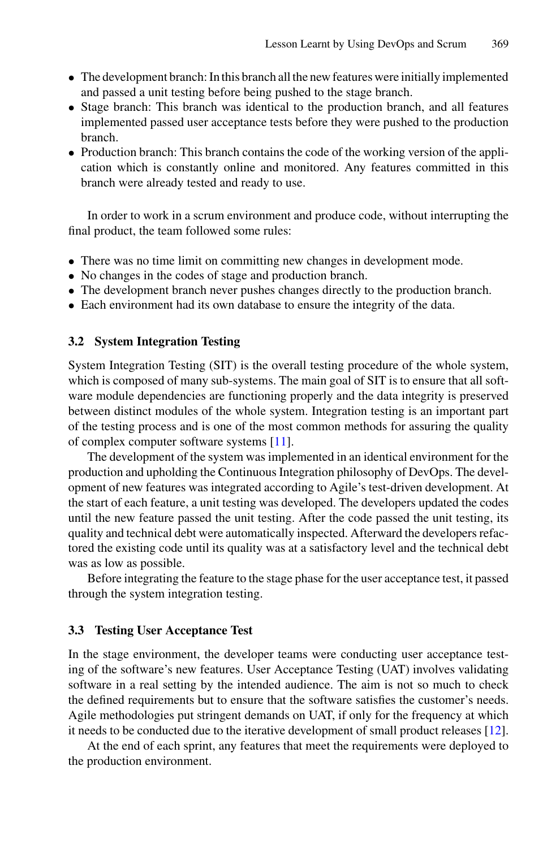- The development branch: In this branch all the new features were initially implemented and passed a unit testing before being pushed to the stage branch.
- Stage branch: This branch was identical to the production branch, and all features implemented passed user acceptance tests before they were pushed to the production branch.
- Production branch: This branch contains the code of the working version of the application which is constantly online and monitored. Any features committed in this branch were already tested and ready to use.

In order to work in a scrum environment and produce code, without interrupting the final product, the team followed some rules:

- There was no time limit on committing new changes in development mode.
- No changes in the codes of stage and production branch.
- The development branch never pushes changes directly to the production branch.
- Each environment had its own database to ensure the integrity of the data.

#### **3.2 System Integration Testing**

System Integration Testing (SIT) is the overall testing procedure of the whole system, which is composed of many sub-systems. The main goal of SIT is to ensure that all software module dependencies are functioning properly and the data integrity is preserved between distinct modules of the whole system. Integration testing is an important part of the testing process and is one of the most common methods for assuring the quality of complex computer software systems [\[11\]](#page-7-8).

The development of the system was implemented in an identical environment for the production and upholding the Continuous Integration philosophy of DevOps. The development of new features was integrated according to Agile's test-driven development. At the start of each feature, a unit testing was developed. The developers updated the codes until the new feature passed the unit testing. After the code passed the unit testing, its quality and technical debt were automatically inspected. Afterward the developers refactored the existing code until its quality was at a satisfactory level and the technical debt was as low as possible.

Before integrating the feature to the stage phase for the user acceptance test, it passed through the system integration testing.

#### **3.3 Testing User Acceptance Test**

In the stage environment, the developer teams were conducting user acceptance testing of the software's new features. User Acceptance Testing (UAT) involves validating software in a real setting by the intended audience. The aim is not so much to check the defined requirements but to ensure that the software satisfies the customer's needs. Agile methodologies put stringent demands on UAT, if only for the frequency at which it needs to be conducted due to the iterative development of small product releases [\[12\]](#page-7-9).

At the end of each sprint, any features that meet the requirements were deployed to the production environment.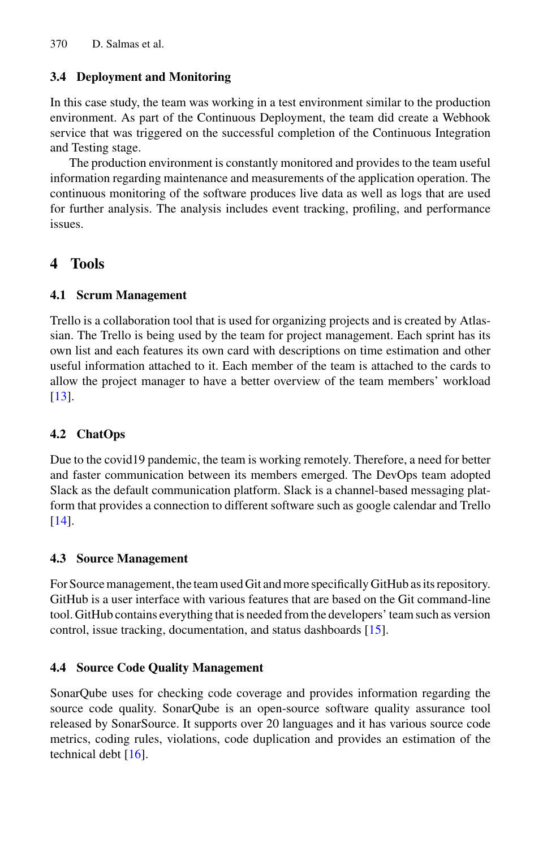## **3.4 Deployment and Monitoring**

In this case study, the team was working in a test environment similar to the production environment. As part of the Continuous Deployment, the team did create a Webhook service that was triggered on the successful completion of the Continuous Integration and Testing stage.

The production environment is constantly monitored and provides to the team useful information regarding maintenance and measurements of the application operation. The continuous monitoring of the software produces live data as well as logs that are used for further analysis. The analysis includes event tracking, profiling, and performance issues.

## **4 Tools**

### **4.1 Scrum Management**

Trello is a collaboration tool that is used for organizing projects and is created by Atlassian. The Trello is being used by the team for project management. Each sprint has its own list and each features its own card with descriptions on time estimation and other useful information attached to it. Each member of the team is attached to the cards to allow the project manager to have a better overview of the team members' workload [\[13\]](#page-7-10).

## **4.2 ChatOps**

Due to the covid19 pandemic, the team is working remotely. Therefore, a need for better and faster communication between its members emerged. The DevOps team adopted Slack as the default communication platform. Slack is a channel-based messaging platform that provides a connection to different software such as google calendar and Trello [\[14\]](#page-7-11).

### **4.3 Source Management**

For Source management, the team used Git and more specifically GitHub as its repository. GitHub is a user interface with various features that are based on the Git command-line tool. GitHub contains everything that is needed from the developers' team such as version control, issue tracking, documentation, and status dashboards [\[15\]](#page-7-12).

## **4.4 Source Code Quality Management**

SonarQube uses for checking code coverage and provides information regarding the source code quality. SonarQube is an open-source software quality assurance tool released by SonarSource. It supports over 20 languages and it has various source code metrics, coding rules, violations, code duplication and provides an estimation of the technical debt  $[16]$ .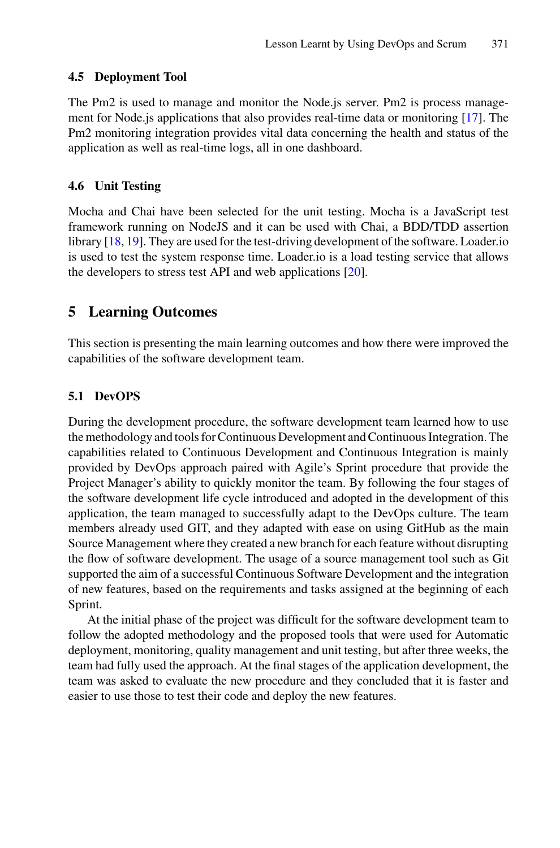#### **4.5 Deployment Tool**

The Pm2 is used to manage and monitor the Node.js server. Pm2 is process management for Node.js applications that also provides real-time data or monitoring [\[17\]](#page-7-14). The Pm2 monitoring integration provides vital data concerning the health and status of the application as well as real-time logs, all in one dashboard.

#### **4.6 Unit Testing**

Mocha and Chai have been selected for the unit testing. Mocha is a JavaScript test framework running on NodeJS and it can be used with Chai, a BDD/TDD assertion library [\[18,](#page-7-15) [19\]](#page-7-16). They are used for the test-driving development of the software. Loader.io is used to test the system response time. Loader.io is a load testing service that allows the developers to stress test API and web applications [\[20\]](#page-7-17).

## **5 Learning Outcomes**

This section is presenting the main learning outcomes and how there were improved the capabilities of the software development team.

#### **5.1 DevOPS**

During the development procedure, the software development team learned how to use the methodology and tools for Continuous Development and Continuous Integration. The capabilities related to Continuous Development and Continuous Integration is mainly provided by DevOps approach paired with Agile's Sprint procedure that provide the Project Manager's ability to quickly monitor the team. By following the four stages of the software development life cycle introduced and adopted in the development of this application, the team managed to successfully adapt to the DevOps culture. The team members already used GIT, and they adapted with ease on using GitHub as the main Source Management where they created a new branch for each feature without disrupting the flow of software development. The usage of a source management tool such as Git supported the aim of a successful Continuous Software Development and the integration of new features, based on the requirements and tasks assigned at the beginning of each Sprint.

At the initial phase of the project was difficult for the software development team to follow the adopted methodology and the proposed tools that were used for Automatic deployment, monitoring, quality management and unit testing, but after three weeks, the team had fully used the approach. At the final stages of the application development, the team was asked to evaluate the new procedure and they concluded that it is faster and easier to use those to test their code and deploy the new features.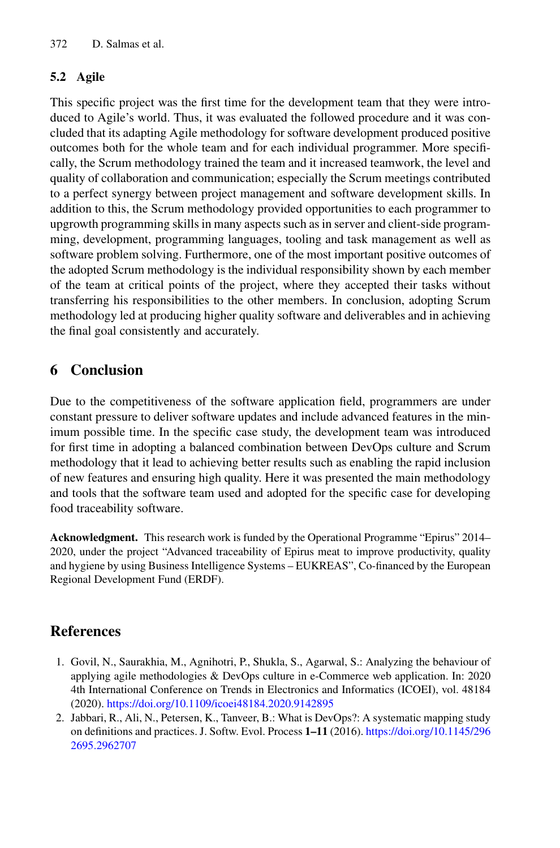## **5.2 Agile**

This specific project was the first time for the development team that they were introduced to Agile's world. Thus, it was evaluated the followed procedure and it was concluded that its adapting Agile methodology for software development produced positive outcomes both for the whole team and for each individual programmer. More specifically, the Scrum methodology trained the team and it increased teamwork, the level and quality of collaboration and communication; especially the Scrum meetings contributed to a perfect synergy between project management and software development skills. In addition to this, the Scrum methodology provided opportunities to each programmer to upgrowth programming skills in many aspects such as in server and client-side programming, development, programming languages, tooling and task management as well as software problem solving. Furthermore, one of the most important positive outcomes of the adopted Scrum methodology is the individual responsibility shown by each member of the team at critical points of the project, where they accepted their tasks without transferring his responsibilities to the other members. In conclusion, adopting Scrum methodology led at producing higher quality software and deliverables and in achieving the final goal consistently and accurately.

## **6 Conclusion**

Due to the competitiveness of the software application field, programmers are under constant pressure to deliver software updates and include advanced features in the minimum possible time. In the specific case study, the development team was introduced for first time in adopting a balanced combination between DevOps culture and Scrum methodology that it lead to achieving better results such as enabling the rapid inclusion of new features and ensuring high quality. Here it was presented the main methodology and tools that the software team used and adopted for the specific case for developing food traceability software.

**Acknowledgment.** This research work is funded by the Operational Programme "Epirus" 2014– 2020, under the project "Advanced traceability of Epirus meat to improve productivity, quality and hygiene by using Business Intelligence Systems – EUKREAS", Co-financed by the European Regional Development Fund (ERDF).

## **References**

- <span id="page-6-0"></span>1. Govil, N., Saurakhia, M., Agnihotri, P., Shukla, S., Agarwal, S.: Analyzing the behaviour of applying agile methodologies & DevOps culture in e-Commerce web application. In: 2020 4th International Conference on Trends in Electronics and Informatics (ICOEI), vol. 48184 (2020). <https://doi.org/10.1109/icoei48184.2020.9142895>
- <span id="page-6-1"></span>2. Jabbari, R., Ali, N., Petersen, K., Tanveer, B.: What is DevOps?: A systematic mapping study [on definitions and practices. J. Softw. Evol. Process](https://doi.org/10.1145/2962695.2962707) **1–11** (2016). https://doi.org/10.1145/296 2695.2962707